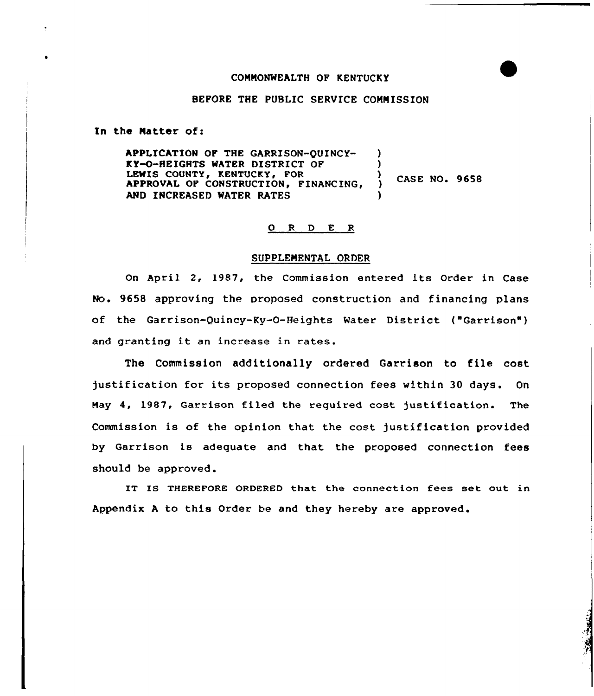## CONNONWEALTH OF KENTUCKY

# BEFORE THE PUBLIC SERVICE COMNISSION

In the Natter of:

APPLICATION OF THE GARRISON-QUINCY-KY-O-HEIGHTS WATER DISTRICT OF LEWIS COUNTY, KENTUCKY, FOR APPROVAL OF CONSTRUCTION, FINANCING, AND INCREASED WATER RATES ) )  $\sqrt{ }$  CASE NO. 9658 )

#### 0 R <sup>D</sup> E <sup>R</sup>

### SUPPLEMENTAL ORDER

On April 2, 1987, the Commission entered its Order in Case No. 9658 approving the proposed construction and financing plans of the Garrison-Quincy-Ky-0-Heights Water District ("Garrison" ) and granting it an increase in rates.

The Commission additionally ordered Garrison to file cost )ustification for its proposed connection fees within 30 days. On Nay 4, 1987, Garrison filed the required cost )ustification. The Commission is of the opinion that the cost Justification provided by Garrison is adequate and that the proposed connection fees should be approved.

IT IS THEREFORE ORDERED that the connection fees set out in Appendix <sup>A</sup> to this Order be and they hereby are approved.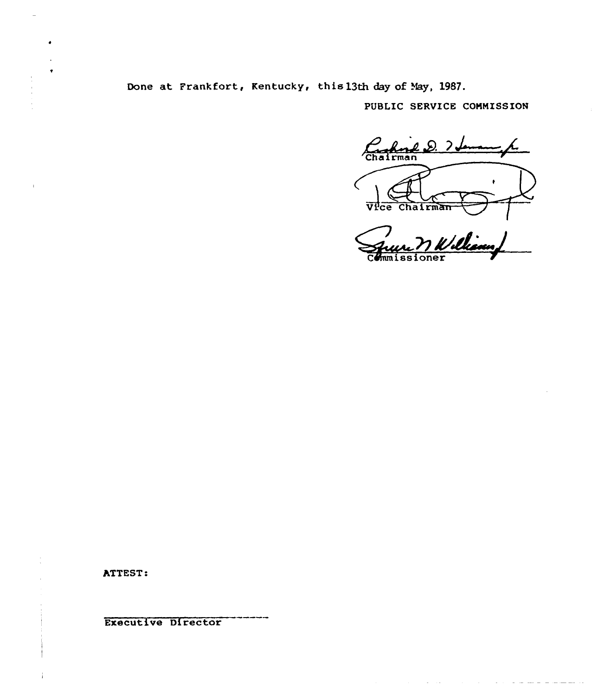Done at Frankfort, Kentucky, this 13th day of May, 1987.

PUBLIC SERVICE COMMISSION

Chairman D. 7. VPce Chairman

 $\sim$   $\sim$   $\sim$ 

ATTEST:

**Executive Director**